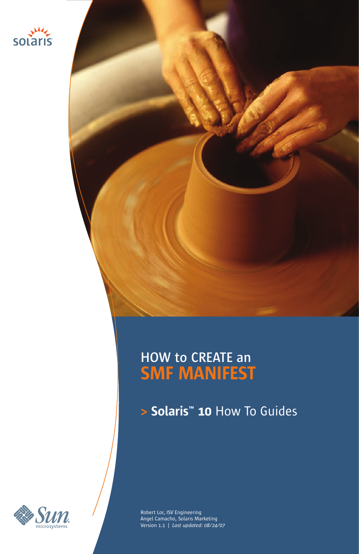

# **HOW to CREATE an SMF MANIFEST**

**> Solaris™ 10** How To Guides



Robert Lor, ISV Engineering Angel Camacho, Solaris Marketing Version 1.1 | *Last updated: 08/24/07*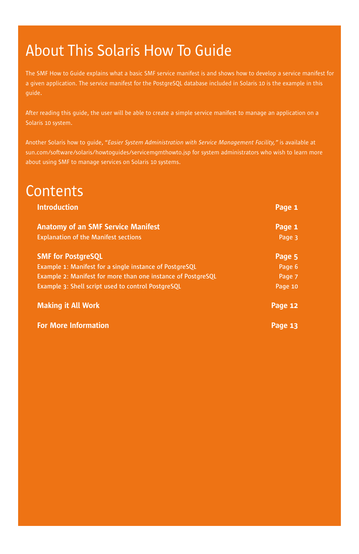# About This Solaris How To Guide

The SMF How to Guide explains what a basic SMF service manifest is and shows how to develop a service manifest for a given application. The service manifest for the PostgreSQL database included in Solaris 10 is the example in this

After reading this guide, the user will be able to create a simple service manifest to manage an application on a Solaris 10 system.

Another Solaris how to guide, "*Easier System Administration with Service Management Facility,"* is available at [sun.com/software/solaris/howtoguides/servicemgmthowto.jsp](http://sun.com/software/solaris/howtoguides/servicemgmthowto.jsp) for system administrators who wish to learn more about using SMF to manage services on Solaris 10 systems.

# **Contents**

| <b>Introduction</b>                                          | Page 1  |
|--------------------------------------------------------------|---------|
| <b>Anatomy of an SMF Service Manifest</b>                    | Page 1  |
| <b>Explanation of the Manifest sections</b>                  | Page 3  |
| <b>SMF for PostgreSOL</b>                                    | Page 5  |
| Example 1: Manifest for a single instance of PostgreSQL      | Page 6  |
| Example 2: Manifest for more than one instance of PostgreSQL | Page 7  |
| Example 3: Shell script used to control PostgreSQL           | Page 10 |
| <b>Making it All Work</b>                                    | Page 12 |
| <b>For More Information</b>                                  | Page 13 |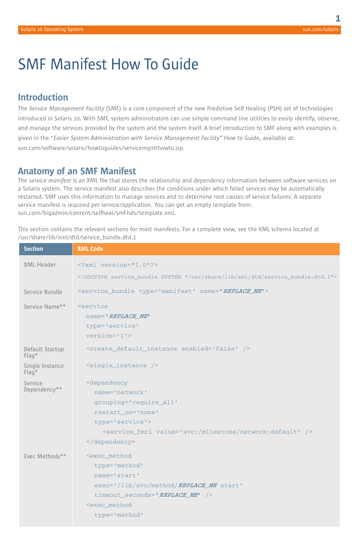# SMF Manifest How To Guide

## **Introduction**

The *Service Management Facility* (SMF) is a core component of the new Predictive Self Healing (PSH) set of technologies introduced in Solaris 10. With SMF, system administrators can use simple command line utilities to easily identify, observe, and manage the services provided by the system and the system itself. A brief introduction to SMF along with examples is given in the "*Easier System Administration with Service Management Facility"* How to Guide, available at: [sun.com/software/solaris/howtoguides/servicemgmthowto.jsp.](http://www.sun.com/software/solaris/howtoguides/servicemgmthowto.jsp)

## **Anatomy of an SMF Manifest**

The *service manifest* is an XML file that stores the relationship and dependency information between software services on a Solaris system. The service manifest also describes the conditions under which failed services may be automatically restarted. SMF uses this information to manage services and to determine root causes of service failures. A separate service manifest is required per service/application. You can get an empty template from: [sun.com/bigadmin/content/selfheal/smf-hds/template.xml.](http://www.sun.com/bigadmin/content/selfheal/smf-hds/template.xml)

This section contains the relevant sections for most manifests. For a complete view, see the XML schema located at /usr/share/lib/xml/dtd/service\_bundle.dtd.1

| <b>Section</b>             | <b>XML Code</b>                                                                                                                                                                                     |
|----------------------------|-----------------------------------------------------------------------------------------------------------------------------------------------------------------------------------------------------|
| XML Header                 | $\leq$ ?xml version="1.0"?>                                                                                                                                                                         |
|                            | service_bundle SYSTEM "/usr/share/lib/xml/dtd/service_bundle.dtd.1"                                                                                                                                 |
| Service Bundle             | <service_bundle name="REPLACE_ME" type="manifest"></service_bundle>                                                                                                                                 |
| Service Name**             | <i>service</i><br>name='REPLACE ME'<br>type='service'<br>$version = 11$                                                                                                                             |
| Default Startup<br>$Flaq*$ | <create_default_instance enabled="false"></create_default_instance>                                                                                                                                 |
| Single Instance<br>$Flag*$ | <single_instance></single_instance>                                                                                                                                                                 |
| Service<br>Dependency**    | <dependency<br>name='network'<br/>grouping='require_all'<br/>restart_on='none'<br/>type='service'&gt;<br/><service_fmri value="svc:/milestone/network:default"></service_fmri><br/></dependency<br> |
| Exec Methods**             | <exec method<br="">type='method'<br/>name='start'<br/>exec='/lib/svc/method/REPLACE_ME start'<br/>timeout seconds='REPLACE ME' /&gt;<br/><exec method<br="">type='method'</exec></exec>             |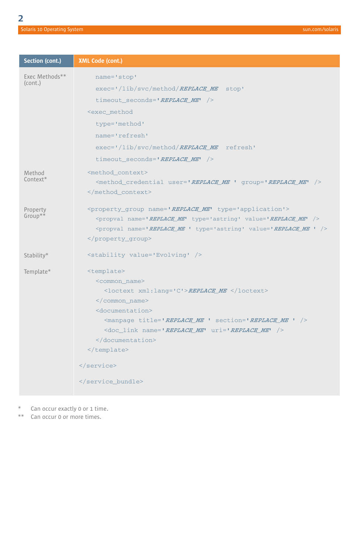| Section (cont.) | XML Code (cont.)                                                                                                      |
|-----------------|-----------------------------------------------------------------------------------------------------------------------|
| Exec Methods**  | name='stop'                                                                                                           |
| (cont.)         | $exec=' /lib/svc/method/REPLACEME$ stop'                                                                              |
|                 | timeout seconds='REPLACE ME' />                                                                                       |
|                 | <exec method<="" td=""></exec>                                                                                        |
|                 | type='method'                                                                                                         |
|                 | name='refresh'                                                                                                        |
|                 | exec='/lib/svc/method/REPLACE ME refresh'                                                                             |
|                 | timeout seconds='REPLACE ME' />                                                                                       |
| Method          | <method context=""></method>                                                                                          |
| Context*        | <method_credential_user='replace_me_'_group='replace_me'_></method_credential_user='replace_me_'_group='replace_me'_> |
|                 |                                                                                                                       |
| Property        | <property_group_name='replace_me' type="application"></property_group_name='replace_me'>                              |
| Group**         | <propval name="REPLACE ME" type="astring" value="REPLACE ME"></propval>                                               |
|                 | <propval name="REPLACE_ME " type="astring" value="REPLACE_ME "></propval>                                             |
|                 |                                                                                                                       |
| Stability*      | <stability value="Evolving"></stability>                                                                              |
| Template*       | <template></template>                                                                                                 |
|                 | <common name=""></common>                                                                                             |
|                 | <loctext xml:lang="C">REPLACE_ME </loctext>                                                                           |
|                 |                                                                                                                       |
|                 | <documentation></documentation>                                                                                       |
|                 | <manpage section="REPLACE ME " title="REPLACE ME "></manpage>                                                         |
|                 | <doc_link name="REPLACE_ME" uri="REPLACE_ME"></doc_link>                                                              |
|                 |                                                                                                                       |
|                 |                                                                                                                       |
|                 |                                                                                                                       |

</service\_bundle>

\* Can occur exactly 0 or 1 time.<br>\*\* Can occur 0 or more times.

Can occur 0 or more times.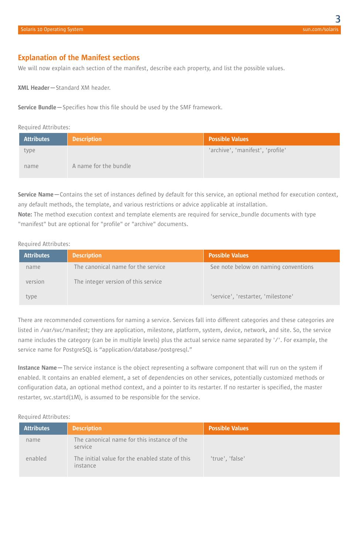### **Explanation of the Manifest sections**

We will now explain each section of the manifest, describe each property, and list the possible values.

**XML Header—**Standard XM header.

**Service Bundle—**Specifies how this file should be used by the SMF framework.

#### Required Attributes:

| <b>Attributes</b> | <b>Description</b>    | <b>Possible Values</b>           |
|-------------------|-----------------------|----------------------------------|
| type              |                       | 'archive', 'manifest', 'profile' |
| name              | A name for the bundle |                                  |

**Service Name—**Contains the set of instances defined by default for this service, an optional method for execution context, any default methods, the template, and various restrictions or advice applicable at installation.

**Note:** The method execution context and template elements are required for service\_bundle documents with type "manifest" but are optional for "profile" or "archive" documents.

#### Required Attributes:

| <b>Attributes</b> | <b>Description</b>                  | <b>Possible Values</b>               |
|-------------------|-------------------------------------|--------------------------------------|
| name              | The canonical name for the service  | See note below on naming conventions |
| version           | The integer version of this service |                                      |
| type              |                                     | 'service', 'restarter, 'milestone'   |

There are recommended conventions for naming a service. Services fall into different categories and these categories are listed in /var/svc/manifest; they are application, milestone, platform, system, device, network, and site. So, the service name includes the category (can be in multiple levels) plus the actual service name separated by '/'. For example, the service name for PostgreSQL is "application/database/postgresql."

**Instance Name—**The service instance is the object representing a software component that will run on the system if enabled. It contains an enabled element, a set of dependencies on other services, potentially customized methods or configuration data, an optional method context, and a pointer to its restarter. If no restarter is specified, the master restarter, svc.startd(1M), is assumed to be responsible for the service.

#### Required Attributes:

| <b>Attributes</b> | <b>Description</b>                                          | Possible Values |
|-------------------|-------------------------------------------------------------|-----------------|
| name              | The canonical name for this instance of the<br>service      |                 |
| enabled           | The initial value for the enabled state of this<br>instance | 'true', 'false' |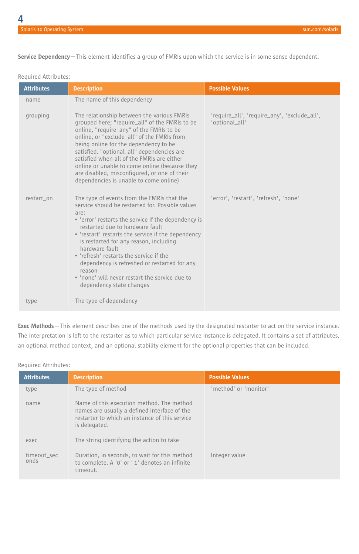**Service Dependency—**This element identifies a group of FMRIs upon which the service is in some sense dependent.

|  | Required Attributes: |
|--|----------------------|
|--|----------------------|

| <b>Attributes</b> | <b>Description</b>                                                                                                                                                                                                                                                                                                                                                                                                                                                                                    | <b>Possible Values</b>                                         |
|-------------------|-------------------------------------------------------------------------------------------------------------------------------------------------------------------------------------------------------------------------------------------------------------------------------------------------------------------------------------------------------------------------------------------------------------------------------------------------------------------------------------------------------|----------------------------------------------------------------|
| name              | The name of this dependency                                                                                                                                                                                                                                                                                                                                                                                                                                                                           |                                                                |
| grouping          | The relationship between the various FMRIs<br>grouped here; "require_all" of the FMRIs to be<br>online, "require_any" of the FMRIs to be<br>online, or "exclude all" of the FMRIs from<br>being online for the dependency to be<br>satisfied. "optional all" dependencies are<br>satisfied when all of the FMRIs are either<br>online or unable to come online (because they<br>are disabled, misconfigured, or one of their<br>dependencies is unable to come online)                                | 'require_all', 'require_any', 'exclude_all',<br>'optional all' |
| restart on        | The type of events from the FMRIs that the<br>service should be restarted for. Possible values<br>are:<br>• 'error' restarts the service if the dependency is<br>restarted due to hardware fault<br>• 'restart' restarts the service if the dependency<br>is restarted for any reason, including<br>hardware fault<br>. 'refresh' restarts the service if the<br>dependency is refreshed or restarted for any<br>reason<br>• 'none' will never restart the service due to<br>dependency state changes | 'error', 'restart', 'refresh', 'none'                          |
| type              | The type of dependency                                                                                                                                                                                                                                                                                                                                                                                                                                                                                |                                                                |

**Exec Methods—**This element describes one of the methods used by the designated restarter to act on the service instance. The interpretation is left to the restarter as to which particular service instance is delegated. It contains a set of attributes, an optional method context, and an optional stability element for the optional properties that can be included.

### Required Attributes:

| <b>Attributes</b>   | <b>Description</b>                                                                                                                                           | <b>Possible Values</b> |
|---------------------|--------------------------------------------------------------------------------------------------------------------------------------------------------------|------------------------|
| type                | The type of method                                                                                                                                           | 'method' or 'monitor'  |
| name                | Name of this execution method. The method<br>names are usually a defined interface of the<br>restarter to which an instance of this service<br>is delegated. |                        |
| exec.               | The string identifying the action to take                                                                                                                    |                        |
| timeout sec<br>onds | Duration, in seconds, to wait for this method<br>to complete. A '0' or '-1' denotes an infinite<br>timeout.                                                  | Integer value          |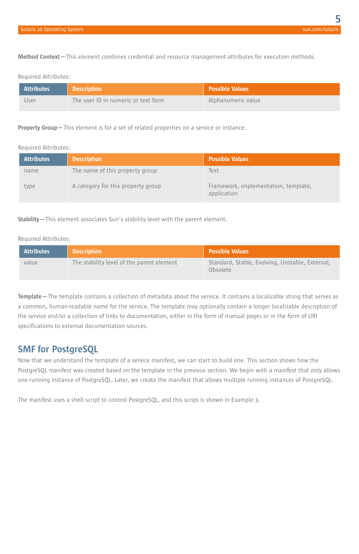**Method Context—**This element combines credential and resource management attributes for execution methods.

#### Required Attributes:

| <b>Attributes</b> | Description                         | <b>Possible Values</b> |
|-------------------|-------------------------------------|------------------------|
| Jser              | The user ID in numeric or text form | Alphanumeric value     |

#### **Property Group—**This element is for a set of related properties on a service or instance.

#### Required Attributes:

| <b>Attributes</b> | <b>Description</b>                 | <b>Possible Values</b>                              |
|-------------------|------------------------------------|-----------------------------------------------------|
| name              | The name of this property group    | Text                                                |
| type              | A category for this property group | Framework, implementation, template,<br>application |

**Stability—**This element associates Sun's stability level with the parent element.

#### Required Attributes:

| Attributes | <b>Description</b>                        | <b>Possible Values</b>                                      |
|------------|-------------------------------------------|-------------------------------------------------------------|
| value      | The stability level of the parent element | Standard, Stable, Evolving, Unstable, External,<br>Obsolete |

**Template—**The template contains a collection of metadata about the service. It contains a localizable string that serves as a common, human-readable name for the service. The template may optionally contain a longer localizable description of the service and/or a collection of links to documentation, either in the form of manual pages or in the form of URI specifications to external documentation sources.

## **SMF for PostgreSQL**

Now that we understand the template of a service manifest, we can start to build one. This section shows how the PostgreSQL manifest was created based on the template in the previous section. We begin with a manifest that only allows one running instance of PostgreSQL. Later, we create the manifest that allows multiple running instances of PostgreSQL.

The manifest uses a shell script to control PostgreSQL, and this script is shown in Example 3.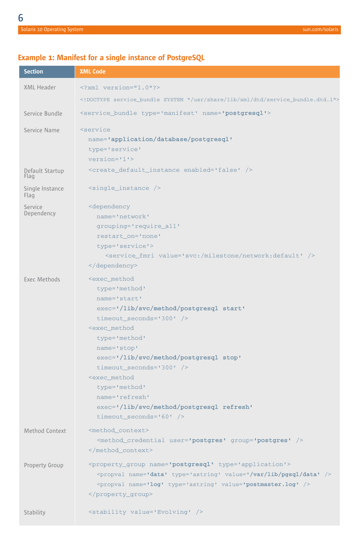## **Example 1: Manifest for a single instance of PostgreSQL**

| <b>Section</b>          | <b>XML Code</b>                                                            |  |  |  |
|-------------------------|----------------------------------------------------------------------------|--|--|--|
| XML Header              | xml version="1.0"?                                                         |  |  |  |
|                         | service_bundle SYSTEM "/usr/share/lib/xml/dtd/service_bundle.dtd.1"        |  |  |  |
| Service Bundle          | <service_bundle name="postgresql" type="manifest"></service_bundle>        |  |  |  |
| Service Name            | <service< td=""></service<>                                                |  |  |  |
|                         | name='application/database/postgresql'                                     |  |  |  |
|                         | type='service'                                                             |  |  |  |
|                         | $version='1$ '>                                                            |  |  |  |
| Default Startup<br>Flag | <create_default_instance enabled="false"></create_default_instance>        |  |  |  |
| Single Instance<br>Flag | $\frac{1}{2}$ <single_instance></single_instance>                          |  |  |  |
| Service                 | <dependency< td=""></dependency<>                                          |  |  |  |
| Dependency              | name='network'                                                             |  |  |  |
|                         | grouping='require_all'                                                     |  |  |  |
|                         | restart_on='none'                                                          |  |  |  |
|                         | type='service'>                                                            |  |  |  |
|                         | <service_fmri value="svc:/milestone/network:default"></service_fmri>       |  |  |  |
|                         |                                                                            |  |  |  |
| Exec Methods            | <exec_method< td=""></exec_method<>                                        |  |  |  |
|                         | type='method'                                                              |  |  |  |
|                         | name='start'                                                               |  |  |  |
|                         | exec='/lib/svc/method/postgresql start'                                    |  |  |  |
|                         | timeout_seconds='300' />                                                   |  |  |  |
|                         | <exec method<="" td=""></exec>                                             |  |  |  |
|                         | type='method'                                                              |  |  |  |
|                         | name='stop'                                                                |  |  |  |
|                         | exec='/lib/svc/method/postgresql stop'                                     |  |  |  |
|                         | timeout_seconds='300' /><br><exec_method< td=""></exec_method<>            |  |  |  |
|                         | type='method'                                                              |  |  |  |
|                         | name='refresh'                                                             |  |  |  |
|                         | exec='/lib/svc/method/postgresql refresh'                                  |  |  |  |
|                         | timeout_seconds= $'60'$ />                                                 |  |  |  |
| Method Context          | <method_context></method_context>                                          |  |  |  |
|                         | <method_credential group="postgres" user="postgres"></method_credential>   |  |  |  |
|                         |                                                                            |  |  |  |
| Property Group          | <property_group name="postgresql" type="application"></property_group>     |  |  |  |
|                         | <propval name="data" type="astring" value="/var/lib/pgsql/data"></propval> |  |  |  |
|                         | <propval name="log" type="astring" value="postmaster.log"></propval>       |  |  |  |
|                         |                                                                            |  |  |  |
|                         |                                                                            |  |  |  |
| Stability               | <stability value="Evolving"></stability>                                   |  |  |  |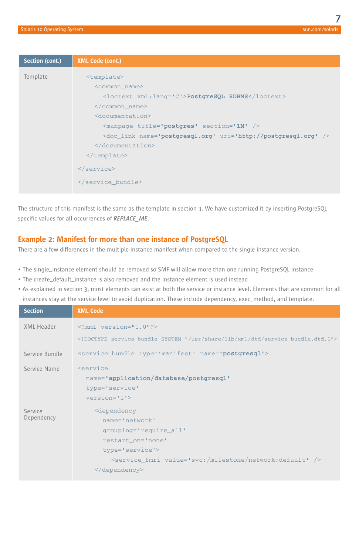| <doc link="" name="postgresgl.org" uri="http://postgresgl.org"></doc> |
|-----------------------------------------------------------------------|
|                                                                       |
|                                                                       |
|                                                                       |
|                                                                       |
|                                                                       |

The structure of this manifest is the same as the template in section 3. We have customized it by inserting PostgreSQL specific values for all occurrences of *REPLACE\_ME*.

### **Example 2: Manifest for more than one instance of PostgreSQL**

There are a few differences in the multiple instance manifest when compared to the single instance version.

- The single\_instance element should be removed so SMF will allow more than one running PostgreSQL instance
- The create\_default\_instance is also removed and the instance element is used instead
- As explained in section 3, most elements can exist at both the service or instance level. Elements that are common for all instances stay at the service level to avoid duplication. These include dependency, exec\_method, and template.

| <b>Section</b>        | <b>XML Code</b>                                                                                                                                                                                                                        |  |  |  |
|-----------------------|----------------------------------------------------------------------------------------------------------------------------------------------------------------------------------------------------------------------------------------|--|--|--|
| XML Header            | $\leq$ ?xml version="1.0"?><br>service_bundle SYSTEM "/usr/share/lib/xml/dtd/service_bundle.dtd.1"                                                                                                                                     |  |  |  |
| Service Bundle        | <service bundle="" name="postgresgl" type="manifest"></service>                                                                                                                                                                        |  |  |  |
| Service Name          | <service<br>name='application/database/postgresql'<br/>type='service'<br/><math>version='1'</math></service<br>                                                                                                                        |  |  |  |
| Service<br>Dependency | <dependency<br>name='network'<br/>grouping='require all'<br/>restart on='none'<br/>type='service'&gt;<br/><service_fmri value="svc:/milestone/network:default"></service_fmri><br/><math>\langle</math> dependency&gt;</dependency<br> |  |  |  |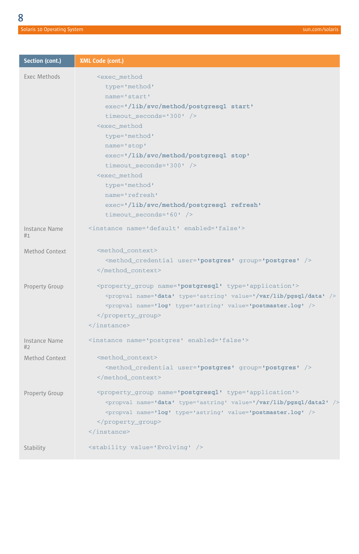| Section (cont.)     | XML Code (cont.)                                                                                                                                                                                                                                                                  |
|---------------------|-----------------------------------------------------------------------------------------------------------------------------------------------------------------------------------------------------------------------------------------------------------------------------------|
| Exec Methods        | <exec method<br="">type='method'<br/>name='start'<br/>exec='/lib/svc/method/postgresql start'<br/>timeout_seconds='300' /&gt;<br/><exec_method< td=""></exec_method<></exec>                                                                                                      |
|                     | type='method'<br>name='stop'<br>exec='/lib/svc/method/postgresql stop'<br>timeout seconds= $1300'$ /><br><exec_method<br><math>type='method'</math><br/>name='refresh'<br/>exec='/lib/svc/method/postgresql refresh'<br/>timeout_seconds=<math>.60'</math> /&gt;</exec_method<br> |
| Instance Name<br>#1 | <instance enabled="false" name="default"></instance>                                                                                                                                                                                                                              |
| Method Context      | <method_context><br/><method_credential group="postgres" user="postgres"></method_credential><br/></method_context>                                                                                                                                                               |
| Property Group      | <property_group name="postgresql" type="application"><br/><propval name="data" type="astring" value="/var/lib/pgsql/data"></propval><br/><propval name="log" type="astring" value="postmaster.log"></propval><br/></property_group><br>                                           |
| Instance Name<br>#2 | <instance enabled="false" name="postgres"></instance>                                                                                                                                                                                                                             |
| Method Context      | <method_context><br/><method_credential group="postgres" user="postgres"></method_credential><br/></method_context>                                                                                                                                                               |
| Property Group      | <property_group name="postgresql" type="application"><br/><propval name="data" type="astring" value="/var/lib/pgsql/data2"></propval><br/><propval name="log" type="astring" value="postmaster.log"></propval><br/></property_group><br>                                          |
| Stability           | <stability value="Evolving"></stability>                                                                                                                                                                                                                                          |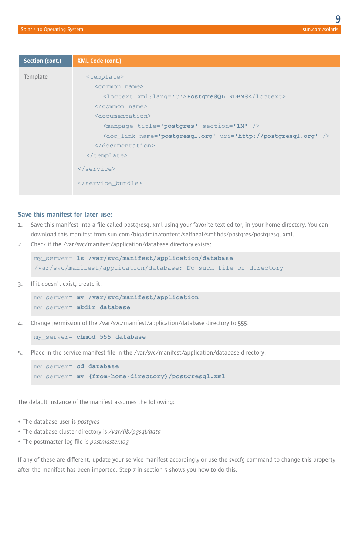| Section (cont.) | XML Code (cont.)                                                        |
|-----------------|-------------------------------------------------------------------------|
| Template        | <template></template>                                                   |
|                 | <common name=""></common>                                               |
|                 | <loctext xml:lang="C">PostgreSQL RDBMS</loctext>                        |
|                 | $\frac{2}{\sqrt{c}}$ common name>                                       |
|                 | <documentation></documentation>                                         |
|                 | <manpage section="1M" title="postgres"></manpage>                       |
|                 | <doc_link name="postgresql.org" uri="http://postgresql.org"></doc_link> |
|                 |                                                                         |
|                 | $\frac{2}{\text{template}}$                                             |
|                 |                                                                         |
|                 |                                                                         |
|                 |                                                                         |

#### **Save this manifest for later use:**

- 1. Save this manifest into a file called postgresql.xml using your favorite text editor, in your home directory. You can download this manifest from [sun.com/bigadmin/content/selfheal/smf-hds/postgres/postgresql.xml.](http://www.sun.com/bigadmin/content/selfheal/smf-hds/postgres/postgresql.xml)
- 2. Check if the /var/svc/manifest/application/database directory exists:

```
my_server# ls /var/svc/manifest/application/database
/var/svc/manifest/application/database: No such file or directory
```
3. If it doesn't exist, create it:

```
my_server# mv /var/svc/manifest/application
my_server# mkdir database
```
4. Change permission of the /var/svc/manifest/application/database directory to 555:

my\_server# **chmod 555 database**

5. Place in the service manifest file in the /var/svc/manifest/application/database directory:

my\_server# **cd database** my\_server# **mv {from-home-directory}/postgresql.xml**

The default instance of the manifest assumes the following:

- The database user is *postgres*
- The database cluster directory is */var/lib/pgsql/data*
- The postmaster log file is *postmaster.log*

If any of these are different, update your service manifest accordingly or use the svccfg command to change this property after the manifest has been imported. Step 7 in section 5 shows you how to do this.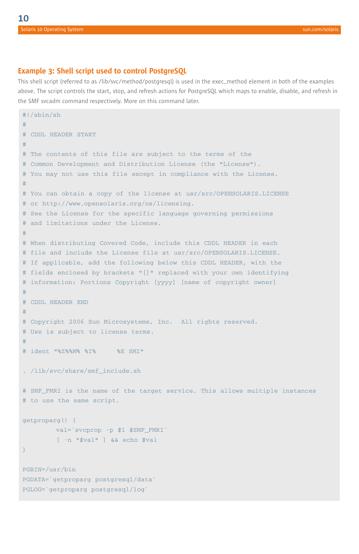### **Example 3: Shell script used to control PostgreSQL**

This shell script (referred to as /lib/svc/method/postgresql) is used in the exec\_method element in both of the examples above. The script controls the start, stop, and refresh actions for PostgreSQL which maps to enable, disable, and refresh in the SMF svcadm command respectively. More on this command later.

```
#!/sbin/sh
#
# CDDL HEADER START
#
# The contents of this file are subject to the terms of the
# Common Development and Distribution License (the "License").
# You may not use this file except in compliance with the License.
#
# You can obtain a copy of the license at usr/src/OPENSOLARIS.LICENSE
# or http://www.opensolaris.org/os/licensing.
# See the License for the specific language governing permissions
# and limitations under the License.
#
# When distributing Covered Code, include this CDDL HEADER in each
# file and include the License file at usr/src/OPENSOLARIS.LICENSE.
# If applicable, add the following below this CDDL HEADER, with the
# fields enclosed by brackets "[]" replaced with your own identifying
# information: Portions Copyright [yyyy] [name of copyright owner]
#
# CDDL HEADER END
#
# Copyright 2006 Sun Microsystems, Inc. All rights reserved.
# Use is subject to license terms.
#
# ident "%Z%%M% %I% %E SMI"
. /lib/svc/share/smf_include.sh
# SMF_FMRI is the name of the target service. This allows multiple instances
# to use the same script.
getproparg() {
        val=`svcprop -p $1 $SMF FMRI
        [ -n "$val" ] && echo $val
}
PGBIN=/usr/bin
PGDATA=`getproparg postgresql/data`
PGLOG=`getproparg postgresql/log`
```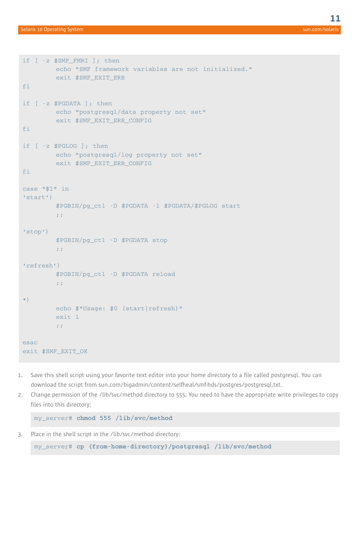```
if [ -z $SMF_FMRI ]; then
        echo "SMF framework variables are not initialized."
        exit $SMF_EXIT_ERR
fi
if [ -z $PGDATA ]; then
        echo "postgresql/data property not set"
        exit $SMF_EXIT_ERR_CONFIG
fi
if [ -z $PGLOG ]; then
        echo "postgresql/log property not set"
        exit $SMF_EXIT_ERR_CONFIG
fi
case "$1" in
'start')
        $PGBIN/pg_ctl -D $PGDATA -l $PGDATA/$PGLOG start
         ;;
'stop')
         $PGBIN/pg_ctl -D $PGDATA stop
        ;;
'refresh')
        $PGBIN/pg_ctl -D $PGDATA reload
         ;;
*)
        echo $"Usage: $0 {start|refresh}"
        exit 1
         ;;
esac
exit $SMF_EXIT_OK
```
- 1. Save this shell script using your favorite text editor into your home directory to a file called postgresql. You can download the script from [sun.com/bigadmin/content/selfheal/smf-hds/postgres/postgresql.txt.](http://www.sun.com/bigadmin/content/selfheal/smf-hds/postgres/postgresql.txt)
- 2. Change permission of the /lib/svc/method directory to 555. You need to have the appropriate write privileges to copy files into this directory:

my\_server# **chmod 555 /lib/svc/method**

3. Place in the shell script in the /lib/svc/method directory:

my\_server# **cp {from-home-directory}/postgresql /lib/svc/method**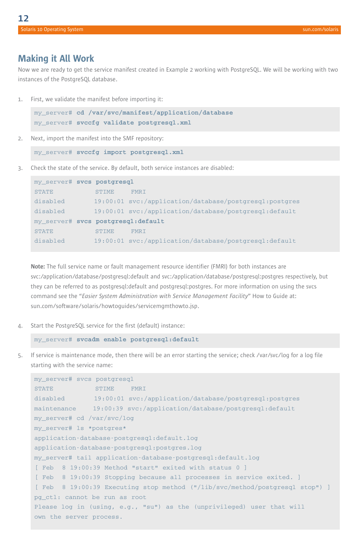## **Making it All Work**

Now we are ready to get the service manifest created in Example 2 working with PostgreSQL. We will be working with two instances of the PostgreSQL database.

1. First, we validate the manifest before importing it:

```
my_server# cd /var/svc/manifest/application/database
my_server# svccfg validate postgresql.xml
```
- 2. Next, import the manifest into the SMF repository:
	- my\_server# **svccfg import postgresql.xml**
- 3. Check the state of the service. By default, both service instances are disabled:

| my_server# svcs postgresql         |              |                                                          |  |
|------------------------------------|--------------|----------------------------------------------------------|--|
| <b>STATE</b>                       | <b>STIME</b> | <b>FMRT</b>                                              |  |
| disabled                           |              | $19:00:01$ svc:/application/database/postgresgl:postgres |  |
| disabled                           |              | $19:00:01$ svc:/application/database/postgresgl:default  |  |
| my server# svcs postgresgl:default |              |                                                          |  |
| <b>STATE</b>                       | <b>STIME</b> | <b>FMRT</b>                                              |  |
| disabled                           |              | $19:00:01$ svc:/application/database/postgresgl:default  |  |

**Note:** The full service name or fault management resource identifier (FMRI) for both instances are svc:/application/database/postgresql:default and svc:/application/database/postgresql:postgres respectively, but they can be referred to as postgresql:default and postgresql:postgres. For more information on using the svcs command see the "*Easier System Administration with Service Management Facility*" How to Guide at: [sun.com/software/solaris/howtoguides/servicemgmthowto.jsp.](http://www.sun.com/software/solaris/howtoguides/servicemgmthowto.jsp)

4. Start the PostgreSQL service for the first (default) instance:

my\_server# **svcadm enable postgresql:default**

5. If service is maintenance mode, then there will be an error starting the service; check /var/svc/log for a log file starting with the service name:

```
my_server# svcs postgresql
STATE STIME FMRI
disabled 19:00:01 svc:/application/database/postgresql:postgres
maintenance 19:00:39 svc:/application/database/postgresql:default
my_server# cd /var/svc/log
my_server# ls *postgres*
application-database-postgresql:default.log
application-database-postgresql:postgres.log
my_server# tail application-database-postgresql:default.log
[ Feb 8 19:00:39 Method "start" exited with status 0 ]
[ Feb 8 19:00:39 Stopping because all processes in service exited. ]
[ Feb 8 19:00:39 Executing stop method ("/lib/svc/method/postgresql stop") ]
pg_ctl: cannot be run as root
Please log in (using, e.g., "su") as the (unprivileged) user that will
own the server process.
```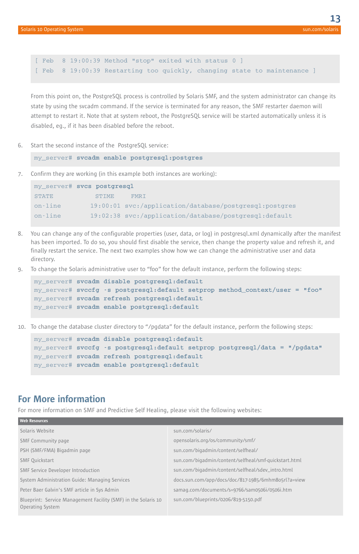[ Feb 8 19:00:39 Method "stop" exited with status 0 ] [ Feb 8 19:00:39 Restarting too quickly, changing state to maintenance ]

From this point on, the PostgreSQL process is controlled by Solaris SMF, and the system administrator can change its state by using the svcadm command. If the service is terminated for any reason, the SMF restarter daemon will attempt to restart it. Note that at system reboot, the PostgreSQL service will be started automatically unless it is disabled, eg., if it has been disabled before the reboot.

6. Start the second instance of the PostgreSQL service:

```
my_server# svcadm enable postgresql:postgres
```
7. Confirm they are working (in this example both instances are working):

|              | my server# svcs postgresgl |                                                          |
|--------------|----------------------------|----------------------------------------------------------|
| <b>STATE</b> | <b>STIME</b>               | FMR T                                                    |
| on-line      |                            | $19:00:01$ svc:/application/database/postgresgl:postgres |
| on-line      |                            | 19:02:38 svc:/application/database/postgresgl:default    |

- 8. You can change any of the configurable properties (user, data, or log) in postgresql.xml dynamically after the manifest has been imported. To do so, you should first disable the service, then change the property value and refresh it, and finally restart the service. The next two examples show how we can change the administrative user and data directory.
- 9. To change the Solaris administrative user to "foo" for the default instance, perform the following steps:

```
my_server# svcadm disable postgresql:default
my_server# svccfg -s postgresql:default setprop method_context/user = "foo"
my_server# svcadm refresh postgresql:default
my_server# svcadm enable postgresql:default
```
10. To change the database cluster directory to "/pgdata" for the default instance, perform the following steps:

```
my_server# svcadm disable postgresql:default
my_server# svccfg -s postgresql:default setprop postgresql/data = "/pgdata"
my_server# svcadm refresh postgresql:default
my_server# svcadm enable postgresql:default
```
## **For More information**

For more information on SMF and Predictive Self Healing, please visit the following websites:

| sun.com/solaris/                                      |
|-------------------------------------------------------|
| opensolaris.org/os/community/smf/                     |
| sun.com/bigadmin/content/selfheal/                    |
| sun.com/bigadmin/content/selfheal/smf-guickstart.html |
| sun.com/bigadmin/content/selfheal/sdev_intro.html     |
| docs.sun.com/app/docs/doc/817-1985/6mhm8o5rl?a=view   |
| samag.com/documents/s=9766/sam0506i/0506i.htm         |
| sun.com/blueprints/0206/819-5150.pdf                  |
|                                                       |